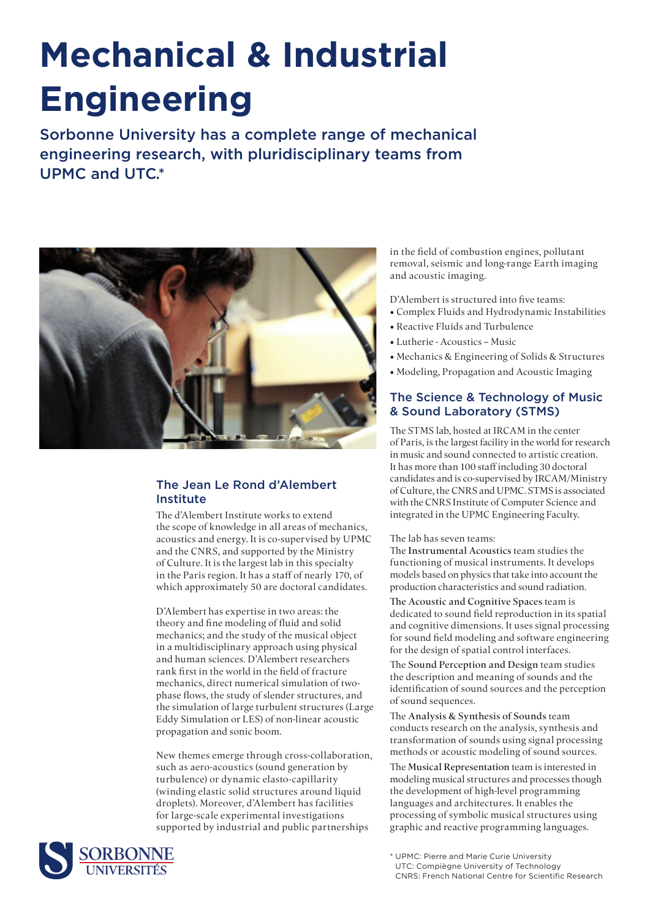# **Mechanical & Industrial Engineering**

Sorbonne University has a complete range of mechanical engineering research, with pluridisciplinary teams from UPMC and UTC.\*



## The Jean Le Rond d'Alembert Institute

The d'Alembert Institute works to extend the scope of knowledge in all areas of mechanics, acoustics and energy. It is co-supervised by UPMC and the CNRS, and supported by the Ministry of Culture. It is the largest lab in this specialty in the Paris region. It has a staff of nearly 170, of which approximately 50 are doctoral candidates.

D'Alembert has expertise in two areas: the theory and fine modeling of fluid and solid mechanics; and the study of the musical object in a multidisciplinary approach using physical and human sciences. D'Alembert researchers rank first in the world in the field of fracture mechanics, direct numerical simulation of twophase flows, the study of slender structures, and the simulation of large turbulent structures (Large Eddy Simulation or LES) of non-linear acoustic propagation and sonic boom.

New themes emerge through cross-collaboration, such as aero-acoustics (sound generation by turbulence) or dynamic elasto-capillarity (winding elastic solid structures around liquid droplets). Moreover, d'Alembert has facilities for large-scale experimental investigations supported by industrial and public partnerships



in the field of combustion engines, pollutant removal, seismic and long-range Earth imaging and acoustic imaging.

D'Alembert is structured into five teams:

- Complex Fluids and Hydrodynamic Instabilities
- Reactive Fluids and Turbulence
- Lutherie Acoustics Music
- Mechanics & Engineering of Solids & Structures
- Modeling, Propagation and Acoustic Imaging

## The Science & Technology of Music & Sound Laboratory (STMS)

The STMS lab, hosted at IRCAM in the center of Paris, is the largest facility in the world for research in music and sound connected to artistic creation. It has more than 100 staff including 30 doctoral candidates and is co-supervised by IRCAM/Ministry of Culture, the CNRS and UPMC. STMS is associated with the CNRS Institute of Computer Science and integrated in the UPMC Engineering Faculty.

The lab has seven teams:

The Instrumental Acoustics team studies the functioning of musical instruments. It develops models based on physics that take into account the production characteristics and sound radiation.

The Acoustic and Cognitive Spaces team is dedicated to sound field reproduction in its spatial and cognitive dimensions. It uses signal processing for sound field modeling and software engineering for the design of spatial control interfaces.

The Sound Perception and Design team studies the description and meaning of sounds and the identification of sound sources and the perception of sound sequences.

The Analysis & Synthesis of Sounds team conducts research on the analysis, synthesis and transformation of sounds using signal processing methods or acoustic modeling of sound sources.

The Musical Representation team is interested in modeling musical structures and processes though the development of high-level programming languages and architectures. It enables the processing of symbolic musical structures using graphic and reactive programming languages.

<sup>\*</sup> UPMC: Pierre and Marie Curie University UTC: Compiègne University of Technology CNRS: French National Centre for Scientific Research